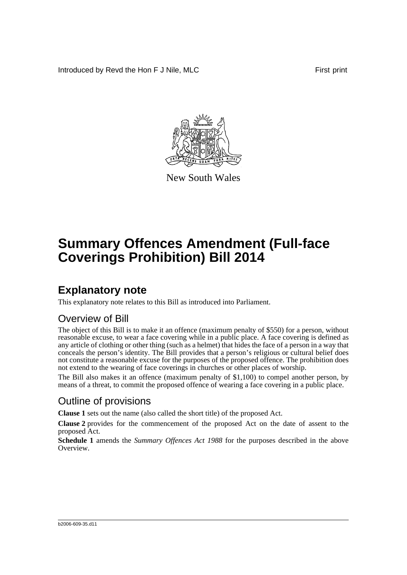Introduced by Revd the Hon F J Nile, MLC First print



New South Wales

# **Summary Offences Amendment (Full-face Coverings Prohibition) Bill 2014**

## **Explanatory note**

This explanatory note relates to this Bill as introduced into Parliament.

### Overview of Bill

The object of this Bill is to make it an offence (maximum penalty of \$550) for a person, without reasonable excuse, to wear a face covering while in a public place. A face covering is defined as any article of clothing or other thing (such as a helmet) that hides the face of a person in a way that conceals the person's identity. The Bill provides that a person's religious or cultural belief does not constitute a reasonable excuse for the purposes of the proposed offence. The prohibition does not extend to the wearing of face coverings in churches or other places of worship.

The Bill also makes it an offence (maximum penalty of \$1,100) to compel another person, by means of a threat, to commit the proposed offence of wearing a face covering in a public place.

## Outline of provisions

**Clause 1** sets out the name (also called the short title) of the proposed Act.

**Clause 2** provides for the commencement of the proposed Act on the date of assent to the proposed Act.

**Schedule 1** amends the *Summary Offences Act 1988* for the purposes described in the above Overview.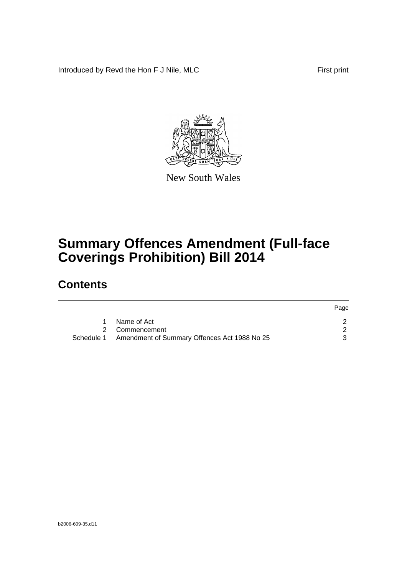Introduced by Revd the Hon F J Nile, MLC First print



New South Wales

# **Summary Offences Amendment (Full-face Coverings Prohibition) Bill 2014**

## **Contents**

|                                                         | Page |
|---------------------------------------------------------|------|
| Name of Act                                             |      |
| 2 Commencement                                          |      |
| Schedule 1 Amendment of Summary Offences Act 1988 No 25 |      |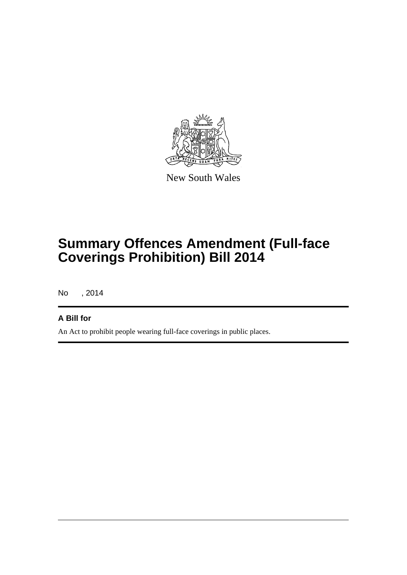

New South Wales

# **Summary Offences Amendment (Full-face Coverings Prohibition) Bill 2014**

No , 2014

### **A Bill for**

An Act to prohibit people wearing full-face coverings in public places.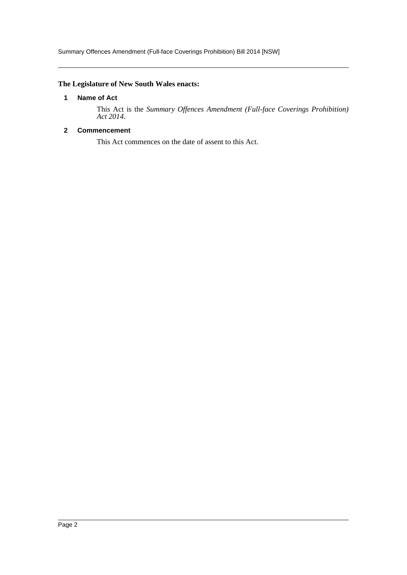#### <span id="page-3-0"></span>**The Legislature of New South Wales enacts:**

#### **1 Name of Act**

This Act is the *Summary Offences Amendment (Full-face Coverings Prohibition) Act 2014*.

#### <span id="page-3-1"></span>**2 Commencement**

This Act commences on the date of assent to this Act.